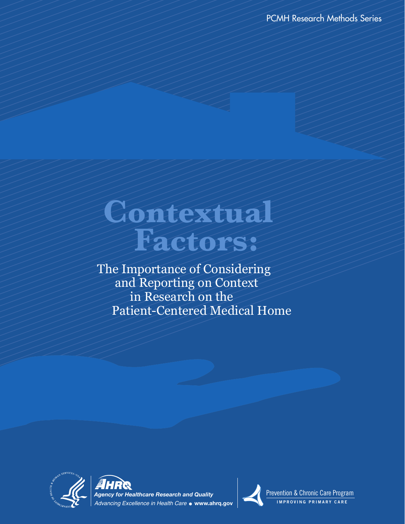PCMH Research Methods Series

# **Contextual Factors:**

 The Importance of Considering and Reporting on Context in Research on the Patient-Centered Medical Home







Prevention & Chronic Care Program **IMPROVING PRIMARY CARE**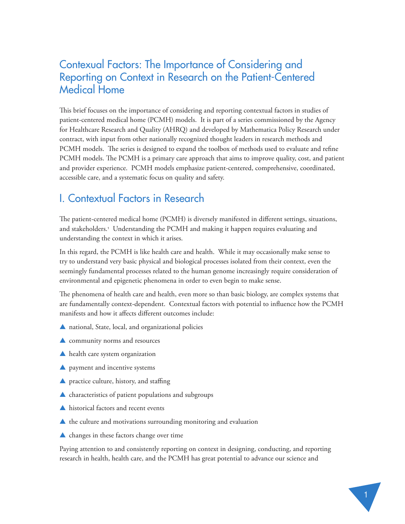# Contexual Factors: The Importance of Considering and Reporting on Context in Research on the Patient-Centered Medical Home

This brief focuses on the importance of considering and reporting contextual factors in studies of patient-centered medical home (PCMH) models. It is part of a series commissioned by the Agency for Healthcare Research and Quality (AHRQ) and developed by Mathematica Policy Research under contract, with input from other nationally recognized thought leaders in research methods and PCMH models. The series is designed to expand the toolbox of methods used to evaluate and refine PCMH models. The PCMH is a primary care approach that aims to improve quality, cost, and patient and provider experience. PCMH models emphasize patient-centered, comprehensive, coordinated, accessible care, and a systematic focus on quality and safety.

# I. Contextual Factors in Research

The patient-centered medical home (PCMH) is diversely manifested in different settings, situations, and stakeholders.<sup>1</sup> Understanding the PCMH and making it happen requires evaluating and understanding the context in which it arises.

In this regard, the PCMH is like health care and health. While it may occasionally make sense to try to understand very basic physical and biological processes isolated from their context, even the seemingly fundamental processes related to the human genome increasingly require consideration of environmental and epigenetic phenomena in order to even begin to make sense.

The phenomena of health care and health, even more so than basic biology, are complex systems that are fundamentally context-dependent. Contextual factors with potential to influence how the PCMH manifests and how it affects different outcomes include:

- ▲ national, State, local, and organizational policies
- ▲ community norms and resources
- ▲ health care system organization
- ▲ payment and incentive systems
- ▲ practice culture, history, and staffing
- ▲ characteristics of patient populations and subgroups
- ▲ historical factors and recent events
- ▲ the culture and motivations surrounding monitoring and evaluation
- ▲ changes in these factors change over time

Paying attention to and consistently reporting on context in designing, conducting, and reporting research in health, health care, and the PCMH has great potential to advance our science and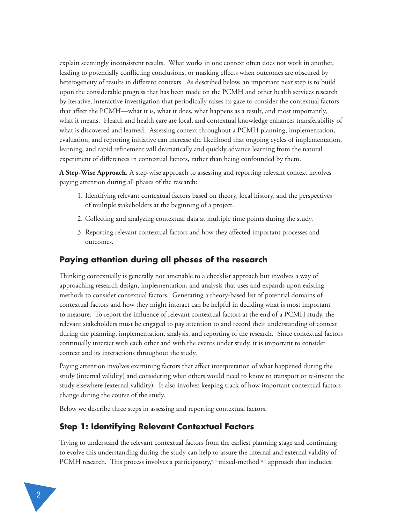explain seemingly inconsistent results. What works in one context often does not work in another, leading to potentially conflicting conclusions, or masking effects when outcomes are obscured by heterogeneity of results in different contexts. As described below, an important next step is to build upon the considerable progress that has been made on the PCMH and other health services research by iterative, interactive investigation that periodically raises its gaze to consider the contextual factors that affect the PCMH—what it is, what it does, what happens as a result, and most importantly, what it means. Health and health care are local, and contextual knowledge enhances transferability of what is discovered and learned. Assessing context throughout a PCMH planning, implementation, evaluation, and reporting initiative can increase the likelihood that ongoing cycles of implementation, learning, and rapid refinement will dramatically and quickly advance learning from the natural experiment of differences in contextual factors, rather than being confounded by them.

**A Step-Wise Approach.** A step-wise approach to assessing and reporting relevant context involves paying attention during all phases of the research:

- 1. Identifying relevant contextual factors based on theory, local history, and the perspectives of multiple stakeholders at the beginning of a project.
- 2. Collecting and analyzing contextual data at multiple time points during the study.
- 3. Reporting relevant contextual factors and how they affected important processes and outcomes.

#### **Paying attention during all phases of the research**

Thinking contextually is generally not amenable to a checklist approach but involves a way of approaching research design, implementation, and analysis that uses and expands upon existing methods to consider contextual factors. Generating a theory-based list of potential domains of contextual factors and how they might interact can be helpful in deciding what is most important to measure. To report the influence of relevant contextual factors at the end of a PCMH study, the relevant stakeholders must be engaged to pay attention to and record their understanding of context during the planning, implementation, analysis, and reporting of the research. Since contextual factors continually interact with each other and with the events under study, it is important to consider context and its interactions throughout the study.

Paying attention involves examining factors that affect interpretation of what happened during the study (internal validity) and considering what others would need to know to transport or re-invent the study elsewhere (external validity). It also involves keeping track of how important contextual factors change during the course of the study.

Below we describe three steps in assessing and reporting contextual factors.

#### **Step 1: Identifying Relevant Contextual Factors**

Trying to understand the relevant contextual factors from the earliest planning stage and continuing to evolve this understanding during the study can help to assure the internal and external validity of PCMH research. This process involves a participatory,<sup>2,3</sup> mixed-method<sup>4,5</sup> approach that includes: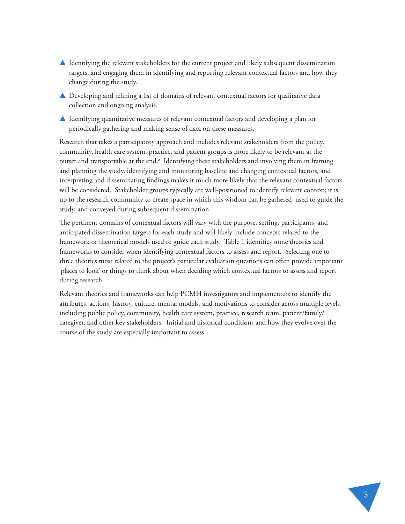- ▲ Identifying the relevant stakeholders for the current project and likely subsequent dissemination targets, and engaging them in identifying and reporting relevant contextual factors and how they change during the study.
- ▲ Developing and refining a list of domains of relevant contextual factors for qualitative data collection and ongoing analysis.
- ▲ Identifying quantitative measures of relevant contextual factors and developing a plan for periodically gathering and making sense of data on these measures.

Research that takes a participatory approach and includes relevant stakeholders from the policy, community, health care system, practice, and patient groups is more likely to be relevant at the outset and transportable at the end.<sup>6</sup> Identifying these stakeholders and involving them in framing and planning the study, identifying and monitoring baseline and changing contextual factors, and interpreting and disseminating findings makes it much more likely that the relevant contextual factors will be considered. Stakeholder groups typically are well-positioned to identify relevant context; it is up to the research community to create space in which this wisdom can be gathered, used to guide the study, and conveyed during subsequent dissemination.

The pertinent domains of contextual factors will vary with the purpose, setting, participants, and anticipated dissemination targets for each study and will likely include concepts related to the framework or theoretical models used to guide each study. Table 1 identifies some theories and frameworks to consider when identifying contextual factors to assess and report. Selecting one to three theories most related to the project's particular evaluation questions can often provide important 'places to look' or things to think about when deciding which contextual factors to assess and report during research.

Relevant theories and frameworks can help PCMH investigators and implementers to identify the attributes, actions, history, culture, mental models, and motivations to consider across multiple levels, including public policy, community, health care system, practice, research team, patient/family/ caregiver, and other key stakeholders. Initial and historical conditions and how they evolve over the course of the study are especially important to assess.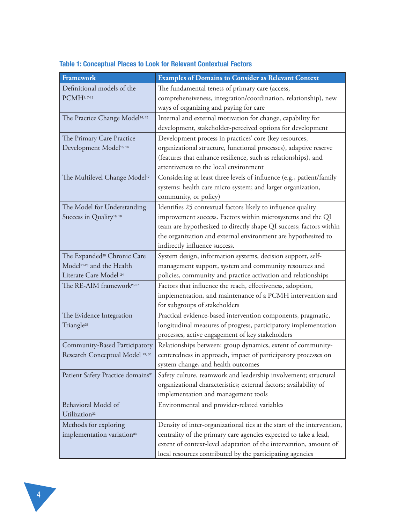| Framework                                     | <b>Examples of Domains to Consider as Relevant Context</b>             |
|-----------------------------------------------|------------------------------------------------------------------------|
| Definitional models of the                    | The fundamental tenets of primary care (access,                        |
| PCMH1, 7-13                                   | comprehensiveness, integration/coordination, relationship), new        |
|                                               | ways of organizing and paying for care                                 |
| The Practice Change Model <sup>14, 15</sup>   | Internal and external motivation for change, capability for            |
|                                               | development, stakeholder-perceived options for development             |
| The Primary Care Practice                     | Development process in practices' core (key resources,                 |
| Development Model <sup>15, 16</sup>           | organizational structure, functional processes), adaptive reserve      |
|                                               | (features that enhance resilience, such as relationships), and         |
|                                               | attentiveness to the local environment                                 |
| The Multilevel Change Model <sup>17</sup>     | Considering at least three levels of influence (e.g., patient/family   |
|                                               | systems; health care micro system; and larger organization,            |
|                                               | community, or policy)                                                  |
| The Model for Understanding                   | Identifies 25 contextual factors likely to influence quality           |
| Success in Quality <sup>18, 19</sup>          | improvement success. Factors within microsystems and the QI            |
|                                               | team are hypothesized to directly shape QI success; factors within     |
|                                               | the organization and external environment are hypothesized to          |
|                                               | indirectly influence success.                                          |
| The Expanded <sup>20</sup> Chronic Care       | System design, information systems, decision support, self-            |
| Model <sup>21-23</sup> and the Health         | management support, system and community resources and                 |
| Literate Care Model <sup>24</sup>             | policies, community and practice activation and relationships          |
| The RE-AIM framework <sup>25-27</sup>         | Factors that influence the reach, effectiveness, adoption,             |
|                                               | implementation, and maintenance of a PCMH intervention and             |
|                                               | for subgroups of stakeholders                                          |
| The Evidence Integration                      | Practical evidence-based intervention components, pragmatic,           |
| Triangle <sup>28</sup>                        | longitudinal measures of progress, participatory implementation        |
|                                               | processes, active engagement of key stakeholders                       |
| Community-Based Participatory                 | Relationships between: group dynamics, extent of community-            |
| Research Conceptual Model <sup>29, 30</sup>   | centeredness in approach, impact of participatory processes on         |
|                                               | system change, and health outcomes                                     |
| Patient Safety Practice domains <sup>31</sup> | Safety culture, teamwork and leadership involvement; structural        |
|                                               | organizational characteristics; external factors; availability of      |
|                                               | implementation and management tools                                    |
| Behavioral Model of                           | Environmental and provider-related variables                           |
| Utilization <sup>32</sup>                     |                                                                        |
| Methods for exploring                         | Density of inter-organizational ties at the start of the intervention, |
| implementation variation <sup>33</sup>        | centrality of the primary care agencies expected to take a lead,       |
|                                               | extent of context-level adaptation of the intervention, amount of      |
|                                               | local resources contributed by the participating agencies              |

### **Table 1: Conceptual Places to Look for Relevant Contextual Factors**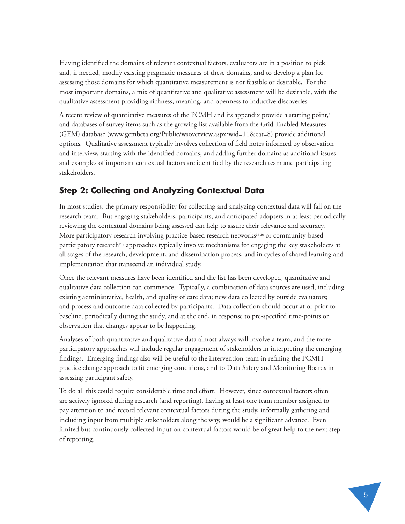Having identified the domains of relevant contextual factors, evaluators are in a position to pick and, if needed, modify existing pragmatic measures of these domains, and to develop a plan for assessing those domains for which quantitative measurement is not feasible or desirable. For the most important domains, a mix of quantitative and qualitative assessment will be desirable, with the qualitative assessment providing richness, meaning, and openness to inductive discoveries.

A recent review of quantitative measures of the PCMH and its appendix provide a starting point,<sup>1</sup> and databases of survey items such as the growing list available from the Grid-Enabled Measures (GEM) database (www.gembeta.org/Public/wsoverview.aspx?wid=11&cat=8) provide additional options. Qualitative assessment typically involves collection of field notes informed by observation and interview, starting with the identified domains, and adding further domains as additional issues and examples of important contextual factors are identified by the research team and participating stakeholders.

#### **Step 2: Collecting and Analyzing Contextual Data**

In most studies, the primary responsibility for collecting and analyzing contextual data will fall on the research team. But engaging stakeholders, participants, and anticipated adopters in at least periodically reviewing the contextual domains being assessed can help to assure their relevance and accuracy. More participatory research involving practice-based research networks<sup>34-36</sup> or community-based participatory research<sup>2, 3</sup> approaches typically involve mechanisms for engaging the key stakeholders at all stages of the research, development, and dissemination process, and in cycles of shared learning and implementation that transcend an individual study.

Once the relevant measures have been identified and the list has been developed, quantitative and qualitative data collection can commence. Typically, a combination of data sources are used, including existing administrative, health, and quality of care data; new data collected by outside evaluators; and process and outcome data collected by participants. Data collection should occur at or prior to baseline, periodically during the study, and at the end, in response to pre-specified time-points or observation that changes appear to be happening.

Analyses of both quantitative and qualitative data almost always will involve a team, and the more participatory approaches will include regular engagement of stakeholders in interpreting the emerging findings. Emerging findings also will be useful to the intervention team in refining the PCMH practice change approach to fit emerging conditions, and to Data Safety and Monitoring Boards in assessing participant safety.

To do all this could require considerable time and effort. However, since contextual factors often are actively ignored during research (and reporting), having at least one team member assigned to pay attention to and record relevant contextual factors during the study, informally gathering and including input from multiple stakeholders along the way, would be a significant advance. Even limited but continuously collected input on contextual factors would be of great help to the next step of reporting.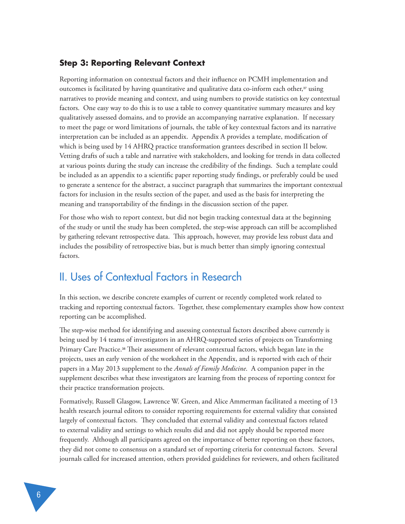#### **Step 3: Reporting Relevant Context**

Reporting information on contextual factors and their influence on PCMH implementation and outcomes is facilitated by having quantitative and qualitative data co-inform each other,<sup>37</sup> using narratives to provide meaning and context, and using numbers to provide statistics on key contextual factors. One easy way to do this is to use a table to convey quantitative summary measures and key qualitatively assessed domains, and to provide an accompanying narrative explanation. If necessary to meet the page or word limitations of journals, the table of key contextual factors and its narrative interpretation can be included as an appendix. Appendix A provides a template, modification of which is being used by 14 AHRQ practice transformation grantees described in section II below. Vetting drafts of such a table and narrative with stakeholders, and looking for trends in data collected at various points during the study can increase the credibility of the findings. Such a template could be included as an appendix to a scientific paper reporting study findings, or preferably could be used to generate a sentence for the abstract, a succinct paragraph that summarizes the important contextual factors for inclusion in the results section of the paper, and used as the basis for interpreting the meaning and transportability of the findings in the discussion section of the paper.

For those who wish to report context, but did not begin tracking contextual data at the beginning of the study or until the study has been completed, the step-wise approach can still be accomplished by gathering relevant retrospective data. This approach, however, may provide less robust data and includes the possibility of retrospective bias, but is much better than simply ignoring contextual factors.

## II. Uses of Contextual Factors in Research

In this section, we describe concrete examples of current or recently completed work related to tracking and reporting contextual factors. Together, these complementary examples show how context reporting can be accomplished.

The step-wise method for identifying and assessing contextual factors described above currently is being used by 14 teams of investigators in an AHRQ-supported series of projects on Transforming Primary Care Practice.38 Their assessment of relevant contextual factors, which began late in the projects, uses an early version of the worksheet in the Appendix, and is reported with each of their papers in a May 2013 supplement to the *Annals of Family Medicine*. A companion paper in the supplement describes what these investigators are learning from the process of reporting context for their practice transformation projects.

Formatively, Russell Glasgow, Lawrence W. Green, and Alice Ammerman facilitated a meeting of 13 health research journal editors to consider reporting requirements for external validity that consisted largely of contextual factors. They concluded that external validity and contextual factors related to external validity and settings to which results did and did not apply should be reported more frequently. Although all participants agreed on the importance of better reporting on these factors, they did not come to consensus on a standard set of reporting criteria for contextual factors. Several journals called for increased attention, others provided guidelines for reviewers, and others facilitated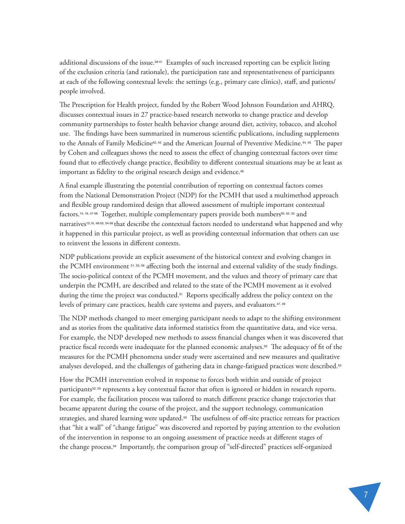additional discussions of the issue.39-41 Examples of such increased reporting can be explicit listing of the exclusion criteria (and rationale), the participation rate and representativeness of participants at each of the following contextual levels: the settings (e.g., primary care clinics), staff, and patients/ people involved.

The Prescription for Health project, funded by the Robert Wood Johnson Foundation and AHRQ, discusses contextual issues in 27 practice-based research networks to change practice and develop community partnerships to foster health behavior change around diet, activity, tobacco, and alcohol use. The findings have been summarized in numerous scientific publications, including supplements to the Annals of Family Medicine<sup>42, 43</sup> and the American Journal of Preventive Medicine.<sup>44, 45</sup> The paper by Cohen and colleagues shows the need to assess the effect of changing contextual factors over time found that to effectively change practice, flexibility to different contextual situations may be at least as important as fidelity to the original research design and evidence.<sup>46</sup>

A final example illustrating the potential contribution of reporting on contextual factors comes from the National Demonstration Project (NDP) for the PCMH that used a multimethod approach and flexible group randomized design that allowed assessment of multiple important contextual factors.<sup>15, 16, 47-56</sup> Together, multiple complementary papers provide both numbers<sup>50, 52, 53</sup> and narratives15,16, 48-50, 54-56 that describe the contextual factors needed to understand what happened and why it happened in this particular project, as well as providing contextual information that others can use to reinvent the lessons in different contexts.

NDP publications provide an explicit assessment of the historical context and evolving changes in the PCMH environment 51, 55, 56 affecting both the internal and external validity of the study findings. The socio-political context of the PCMH movement, and the values and theory of primary care that underpin the PCMH, are described and related to the state of the PCMH movement as it evolved during the time the project was conducted.<sup>51</sup> Reports specifically address the policy context on the levels of primary care practices, health care systems and payers, and evaluators.<sup>47, 49</sup>

The NDP methods changed to meet emerging participant needs to adapt to the shifting environment and as stories from the qualitative data informed statistics from the quantitative data, and vice versa. For example, the NDP developed new methods to assess financial changes when it was discovered that practice fiscal records were inadequate for the planned economic analyses.52 The adequacy of fit of the measures for the PCMH phenomena under study were ascertained and new measures and qualitative analyses developed, and the challenges of gathering data in change-fatigued practices were described.<sup>52</sup>

How the PCMH intervention evolved in response to forces both within and outside of project participants<sup>52, 55</sup> represents a key contextual factor that often is ignored or hidden in research reports. For example, the facilitation process was tailored to match different practice change trajectories that became apparent during the course of the project, and the support technology, communication strategies, and shared learning were updated.<sup>55</sup> The usefulness of off-site practice retreats for practices that "hit a wall" of "change fatigue" was discovered and reported by paying attention to the evolution of the intervention in response to an ongoing assessment of practice needs at different stages of the change process.54 Importantly, the comparison group of "self-directed" practices self-organized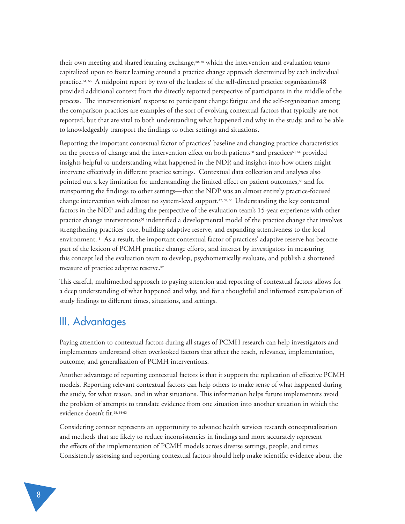their own meeting and shared learning exchange,<sup>52, 55</sup> which the intervention and evaluation teams capitalized upon to foster learning around a practice change approach determined by each individual practice.54, 55 A midpoint report by two of the leaders of the self-directed practice organization48 provided additional context from the directly reported perspective of participants in the middle of the process. The interventionists' response to participant change fatigue and the self-organization among the comparison practices are examples of the sort of evolving contextual factors that typically are not reported, but that are vital to both understanding what happened and why in the study, and to be able to knowledgeably transport the findings to other settings and situations.

Reporting the important contextual factor of practices' baseline and changing practice characteristics on the process of change and the intervention effect on both patients<sup>53</sup> and practices<sup>50, 54</sup> provided insights helpful to understanding what happened in the NDP, and insights into how others might intervene effectively in different practice settings. Contextual data collection and analyses also pointed out a key limitation for understanding the limited effect on patient outcomes,53 and for transporting the findings to other settings—that the NDP was an almost entirely practice-focused change intervention with almost no system-level support.47, 52, 55 Understanding the key contextual factors in the NDP and adding the perspective of the evaluation team's 15-year experience with other practice change interventions56 indentified a developmental model of the practice change that involves strengthening practices' core, building adaptive reserve, and expanding attentiveness to the local environment.15 As a result, the important contextual factor of practices' adaptive reserve has become part of the lexicon of PCMH practice change efforts, and interest by investigators in measuring this concept led the evaluation team to develop, psychometrically evaluate, and publish a shortened measure of practice adaptive reserve.<sup>57</sup>

This careful, multimethod approach to paying attention and reporting of contextual factors allows for a deep understanding of what happened and why, and for a thoughtful and informed extrapolation of study findings to different times, situations, and settings.

## III. Advantages

Paying attention to contextual factors during all stages of PCMH research can help investigators and implementers understand often overlooked factors that affect the reach, relevance, implementation, outcome, and generalization of PCMH interventions.

Another advantage of reporting contextual factors is that it supports the replication of effective PCMH models. Reporting relevant contextual factors can help others to make sense of what happened during the study, for what reason, and in what situations. This information helps future implementers avoid the problem of attempts to translate evidence from one situation into another situation in which the evidence doesn't fit.<sup>28, 58-63</sup>

Considering context represents an opportunity to advance health services research conceptualization and methods that are likely to reduce inconsistencies in findings and more accurately represent the effects of the implementation of PCMH models across diverse settings, people, and times Consistently assessing and reporting contextual factors should help make scientific evidence about the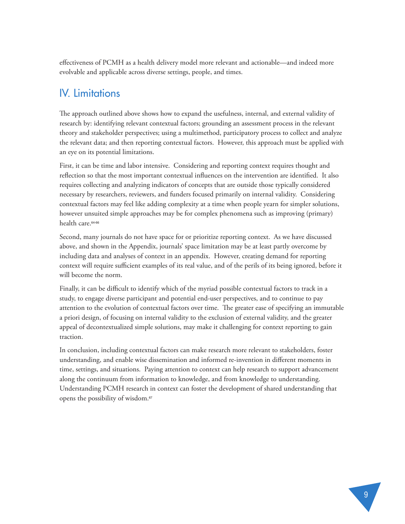effectiveness of PCMH as a health delivery model more relevant and actionable—and indeed more evolvable and applicable across diverse settings, people, and times.

# IV. Limitations

The approach outlined above shows how to expand the usefulness, internal, and external validity of research by: identifying relevant contextual factors; grounding an assessment process in the relevant theory and stakeholder perspectives; using a multimethod, participatory process to collect and analyze the relevant data; and then reporting contextual factors. However, this approach must be applied with an eye on its potential limitations.

First, it can be time and labor intensive. Considering and reporting context requires thought and reflection so that the most important contextual influences on the intervention are identified. It also requires collecting and analyzing indicators of concepts that are outside those typically considered necessary by researchers, reviewers, and funders focused primarily on internal validity. Considering contextual factors may feel like adding complexity at a time when people yearn for simpler solutions, however unsuited simple approaches may be for complex phenomena such as improving (primary) health care.64-66

Second, many journals do not have space for or prioritize reporting context. As we have discussed above, and shown in the Appendix, journals' space limitation may be at least partly overcome by including data and analyses of context in an appendix. However, creating demand for reporting context will require sufficient examples of its real value, and of the perils of its being ignored, before it will become the norm.

Finally, it can be difficult to identify which of the myriad possible contextual factors to track in a study, to engage diverse participant and potential end-user perspectives, and to continue to pay attention to the evolution of contextual factors over time. The greater ease of specifying an immutable a priori design, of focusing on internal validity to the exclusion of external validity, and the greater appeal of decontextualized simple solutions, may make it challenging for context reporting to gain traction.

In conclusion, including contextual factors can make research more relevant to stakeholders, foster understanding, and enable wise dissemination and informed re-invention in different moments in time, settings, and situations. Paying attention to context can help research to support advancement along the continuum from information to knowledge, and from knowledge to understanding. Understanding PCMH research in context can foster the development of shared understanding that opens the possibility of wisdom.67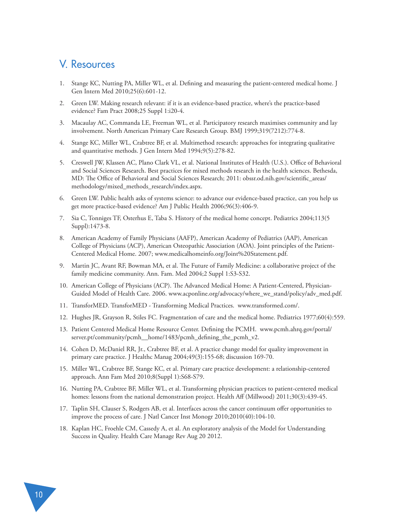## V. Resources

- 1. Stange KC, Nutting PA, Miller WL, et al. Defining and measuring the patient-centered medical home. J Gen Intern Med 2010;25(6):601-12.
- 2. Green LW. Making research relevant: if it is an evidence-based practice, where's the practice-based evidence? Fam Pract 2008;25 Suppl 1:i20-4.
- 3. Macaulay AC, Commanda LE, Freeman WL, et al. Participatory research maximises community and lay involvement. North American Primary Care Research Group. BMJ 1999;319(7212):774-8.
- 4. Stange KC, Miller WL, Crabtree BF, et al. Multimethod research: approaches for integrating qualitative and quantitative methods. J Gen Intern Med 1994;9(5):278-82.
- 5. Creswell JW, Klassen AC, Plano Clark VL, et al. National Institutes of Health (U.S.). Office of Behavioral and Social Sciences Research. Best practices for mixed methods research in the health sciences. Bethesda, MD: The Office of Behavioral and Social Sciences Research; 2011: obssr.od.nih.gov/scientific\_areas/ methodology/mixed\_methods\_research/index.aspx.
- 6. Green LW. Public health asks of systems science: to advance our evidence-based practice, can you help us get more practice-based evidence? Am J Public Health 2006;96(3):406-9.
- 7. Sia C, Tonniges TF, Osterhus E, Taba S. History of the medical home concept. Pediatrics 2004;113(5 Suppl):1473-8.
- 8. American Academy of Family Physicians (AAFP), American Academy of Pediatrics (AAP), American College of Physicians (ACP), American Osteopathic Association (AOA). Joint principles of the Patient-Centered Medical Home. 2007; www.medicalhomeinfo.org/Joint%20Statement.pdf.
- 9. Martin JC, Avant RF, Bowman MA, et al. The Future of Family Medicine: a collaborative project of the family medicine community. Ann. Fam. Med 2004;2 Suppl 1:S3-S32.
- 10. American College of Physicians (ACP). The Advanced Medical Home: A Patient-Centered, Physician-Guided Model of Health Care. 2006. www.acponline.org/advocacy/where\_we\_stand/policy/adv\_med.pdf.
- 11. TransforMED. TransforMED Transforming Medical Practices. www.transformed.com/.
- 12. Hughes JR, Grayson R, Stiles FC. Fragmentation of care and the medical home. Pediatrics 1977;60(4):559.
- 13. Patient Centered Medical Home Resource Center. Defining the PCMH. www.pcmh.ahrq.gov/portal/ server.pt/community/pcmh\_\_home/1483/pcmh\_defining\_the\_pcmh\_v2.
- 14. Cohen D, McDaniel RR, Jr., Crabtree BF, et al. A practice change model for quality improvement in primary care practice. J Healthc Manag 2004;49(3):155-68; discussion 169-70.
- 15. Miller WL, Crabtree BF, Stange KC, et al. Primary care practice development: a relationship-centered approach. Ann Fam Med 2010;8(Suppl 1):S68-S79.
- 16. Nutting PA, Crabtree BF, Miller WL, et al. Transforming physician practices to patient-centered medical homes: lessons from the national demonstration project. Health Aff (Millwood) 2011;30(3):439-45.
- 17. Taplin SH, Clauser S, Rodgers AB, et al. Interfaces across the cancer continuum offer opportunities to improve the process of care. J Natl Cancer Inst Monogr 2010;2010(40):104-10.
- 18. Kaplan HC, Froehle CM, Cassedy A, et al. An exploratory analysis of the Model for Understanding Success in Quality. Health Care Manage Rev Aug 20 2012.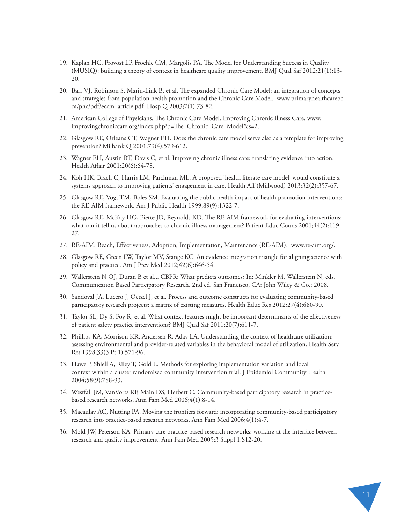- 19. Kaplan HC, Provost LP, Froehle CM, Margolis PA. The Model for Understanding Success in Quality (MUSIQ): building a theory of context in healthcare quality improvement. BMJ Qual Saf 2012;21(1):13- 20.
- 20. Barr VJ, Robinson S, Marin-Link B, et al. The expanded Chronic Care Model: an integration of concepts and strategies from population health promotion and the Chronic Care Model. www.primaryhealthcarebc. ca/phc/pdf/eccm\_article.pdf Hosp Q 2003;7(1):73-82.
- 21. American College of Physicians. The Chronic Care Model. Improving Chronic Illness Care. www. improvingchroniccare.org/index.php?p=The\_Chronic\_Care\_Model&s=2.
- 22. Glasgow RE, Orleans CT, Wagner EH. Does the chronic care model serve also as a template for improving prevention? Milbank Q 2001;79(4):579-612.
- 23. Wagner EH, Austin BT, Davis C, et al. Improving chronic illness care: translating evidence into action. Health Affair 2001;20(6):64-78.
- 24. Koh HK, Brach C, Harris LM, Parchman ML. A proposed 'health literate care model' would constitute a systems approach to improving patients' engagement in care. Health Aff (Millwood) 2013;32(2):357-67.
- 25. Glasgow RE, Vogt TM, Boles SM. Evaluating the public health impact of health promotion interventions: the RE-AIM framework. Am J Public Health 1999;89(9):1322-7.
- 26. Glasgow RE, McKay HG, Piette JD, Reynolds KD. The RE-AIM framework for evaluating interventions: what can it tell us about approaches to chronic illness management? Patient Educ Couns 2001;44(2):119- 27.
- 27. RE-AIM. Reach, Effectiveness, Adoption, Implementation, Maintenance (RE-AIM). www.re-aim.org/.
- 28. Glasgow RE, Green LW, Taylor MV, Stange KC. An evidence integration triangle for aligning science with policy and practice. Am J Prev Med 2012;42(6):646-54.
- 29. Wallerstein N OJ, Duran B et al.,. CBPR: What predicts outcomes? In: Minkler M, Wallerstein N, eds. Communication Based Participatory Research. 2nd ed. San Francisco, CA: John Wiley & Co.; 2008.
- 30. Sandoval JA, Lucero J, Oetzel J, et al. Process and outcome constructs for evaluating community-based participatory research projects: a matrix of existing measures. Health Educ Res 2012;27(4):680-90.
- 31. Taylor SL, Dy S, Foy R, et al. What context features might be important determinants of the effectiveness of patient safety practice interventions? BMJ Qual Saf 2011;20(7):611-7.
- 32. Phillips KA, Morrison KR, Andersen R, Aday LA. Understanding the context of healthcare utilization: assessing environmental and provider-related variables in the behavioral model of utilization. Health Serv Res 1998;33(3 Pt 1):571-96.
- 33. Hawe P, Shiell A, Riley T, Gold L. Methods for exploring implementation variation and local context within a cluster randomised community intervention trial. J Epidemiol Community Health 2004;58(9):788-93.
- 34. Westfall JM, VanVorts RF, Main DS, Herbert C. Community-based participatory research in practicebased research networks. Ann Fam Med 2006;4(1):8-14.
- 35. Macaulay AC, Nutting PA. Moving the frontiers forward: incorporating community-based participatory research into practice-based research networks. Ann Fam Med 2006;4(1):4-7.
- 36. Mold JW, Peterson KA. Primary care practice-based research networks: working at the interface between research and quality improvement. Ann Fam Med 2005;3 Suppl 1:S12-20.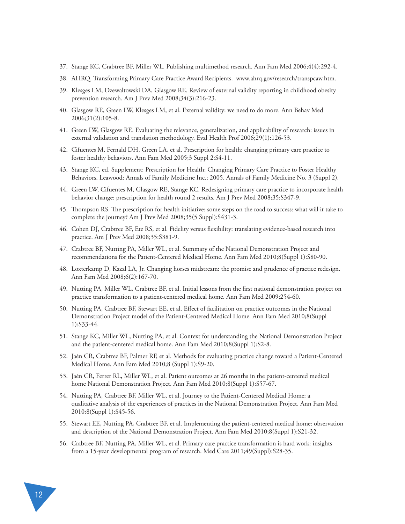- 37. Stange KC, Crabtree BF, Miller WL. Publishing multimethod research. Ann Fam Med 2006;4(4):292-4.
- 38. AHRQ. Transforming Primary Care Practice Award Recipients. www.ahrq.gov/research/transpcaw.htm.
- 39. Klesges LM, Dzewaltowski DA, Glasgow RE. Review of external validity reporting in childhood obesity prevention research. Am J Prev Med 2008;34(3):216-23.
- 40. Glasgow RE, Green LW, Klesges LM, et al. External validity: we need to do more. Ann Behav Med 2006;31(2):105-8.
- 41. Green LW, Glasgow RE. Evaluating the relevance, generalization, and applicability of research: issues in external validation and translation methodology. Eval Health Prof 2006;29(1):126-53.
- 42. Cifuentes M, Fernald DH, Green LA, et al. Prescription for health: changing primary care practice to foster healthy behaviors. Ann Fam Med 2005;3 Suppl 2:S4-11.
- 43. Stange KC, ed. Supplement: Prescription for Health: Changing Primary Care Practice to Foster Healthy Behaviors. Leawood: Annals of Family Medicine Inc.; 2005. Annals of Family Medicine No. 3 (Suppl 2).
- 44. Green LW, Cifuentes M, Glasgow RE, Stange KC. Redesigning primary care practice to incorporate health behavior change: prescription for health round 2 results. Am J Prev Med 2008;35:S347-9.
- 45. Thompson RS. The prescription for health initiative: some steps on the road to success: what will it take to complete the journey? Am J Prev Med 2008;35(5 Suppl):S431-3.
- 46. Cohen DJ, Crabtree BF, Etz RS, et al. Fidelity versus flexibility: translating evidence-based research into practice. Am J Prev Med 2008;35:S381-9.
- 47. Crabtree BF, Nutting PA, Miller WL, et al. Summary of the National Demonstration Project and recommendations for the Patient-Centered Medical Home. Ann Fam Med 2010;8(Suppl 1):S80-90.
- 48. Loxterkamp D, Kazal LA, Jr. Changing horses midstream: the promise and prudence of practice redesign. Ann Fam Med 2008;6(2):167-70.
- 49. Nutting PA, Miller WL, Crabtree BF, et al. Initial lessons from the first national demonstration project on practice transformation to a patient-centered medical home. Ann Fam Med 2009;254-60.
- 50. Nutting PA, Crabtree BF, Stewart EE, et al. Effect of facilitation on practice outcomes in the National Demonstration Project model of the Patient-Centered Medical Home. Ann Fam Med 2010;8(Suppl 1):S33-44.
- 51. Stange KC, Miller WL, Nutting PA, et al. Context for understanding the National Demonstration Project and the patient-centered medical home. Ann Fam Med 2010;8(Suppl 1):S2-8.
- 52. Jaén CR, Crabtree BF, Palmer RF, et al. Methods for evaluating practice change toward a Patient-Centered Medical Home. Ann Fam Med 2010;8 (Suppl 1):S9-20.
- 53. Jaén CR, Ferrer RL, Miller WL, et al. Patient outcomes at 26 months in the patient-centered medical home National Demonstration Project. Ann Fam Med 2010;8(Suppl 1):S57-67.
- 54. Nutting PA, Crabtree BF, Miller WL, et al. Journey to the Patient-Centered Medical Home: a qualitative analysis of the experiences of practices in the National Demonstration Project. Ann Fam Med 2010;8(Suppl 1):S45-56.
- 55. Stewart EE, Nutting PA, Crabtree BF, et al. Implementing the patient-centered medical home: observation and description of the National Demonstration Project. Ann Fam Med 2010;8(Suppl 1):S21-32.
- 56. Crabtree BF, Nutting PA, Miller WL, et al. Primary care practice transformation is hard work: insights from a 15-year developmental program of research. Med Care 2011;49(Suppl):S28-35.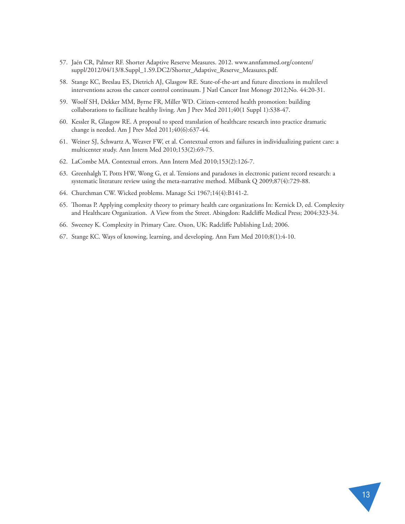- 57. Jaén CR, Palmer RF. Shorter Adaptive Reserve Measures. 2012. www.annfammed.org/content/ suppl/2012/04/13/8.Suppl\_1.S9.DC2/Shorter\_Adaptive\_Reserve\_Measures.pdf.
- 58. Stange KC, Breslau ES, Dietrich AJ, Glasgow RE. State-of-the-art and future directions in multilevel interventions across the cancer control continuum. J Natl Cancer Inst Monogr 2012;No. 44:20-31.
- 59. Woolf SH, Dekker MM, Byrne FR, Miller WD. Citizen-centered health promotion: building collaborations to facilitate healthy living. Am J Prev Med 2011;40(1 Suppl 1):S38-47.
- 60. Kessler R, Glasgow RE. A proposal to speed translation of healthcare research into practice dramatic change is needed. Am J Prev Med 2011;40(6):637-44.
- 61. Weiner SJ, Schwartz A, Weaver FW, et al. Contextual errors and failures in individualizing patient care: a multicenter study. Ann Intern Med 2010;153(2):69-75.
- 62. LaCombe MA. Contextual errors. Ann Intern Med 2010;153(2):126-7.
- 63. Greenhalgh T, Potts HW, Wong G, et al. Tensions and paradoxes in electronic patient record research: a systematic literature review using the meta-narrative method. Milbank Q 2009;87(4):729-88.
- 64. Churchman CW. Wicked problems. Manage Sci 1967;14(4):B141-2.
- 65. Thomas P. Applying complexity theory to primary health care organizations In: Kernick D, ed. Complexity and Healthcare Organization. A View from the Street. Abingdon: Radcliffe Medical Press; 2004:323-34.
- 66. Sweeney K. Complexity in Primary Care. Oxon, UK: Radcliffe Publishing Ltd; 2006.
- 67. Stange KC. Ways of knowing, learning, and developing. Ann Fam Med 2010;8(1):4-10.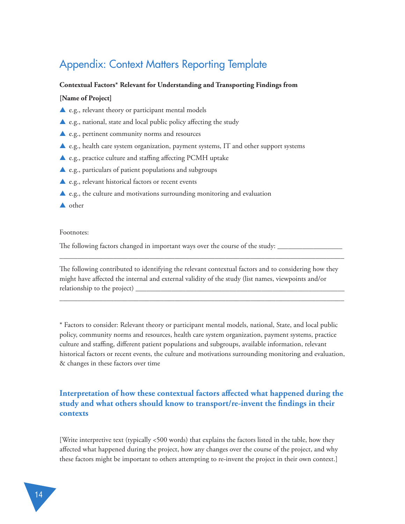# Appendix: Context Matters Reporting Template

#### **Contextual Factors\* Relevant for Understanding and Transporting Findings from**

#### **[Name of Project]**

- ▲ e.g., relevant theory or participant mental models
- $\triangle$  e.g., national, state and local public policy affecting the study
- ▲ e.g., pertinent community norms and resources
- ▲ e.g., health care system organization, payment systems, IT and other support systems
- ▲ e.g., practice culture and staffing affecting PCMH uptake
- ▲ e.g., particulars of patient populations and subgroups
- ▲ e.g., relevant historical factors or recent events
- $\triangle$  e.g., the culture and motivations surrounding monitoring and evaluation
- ▲ other

#### Footnotes:

The following factors changed in important ways over the course of the study:

The following contributed to identifying the relevant contextual factors and to considering how they might have affected the internal and external validity of the study (list names, viewpoints and/or relationship to the project)  $\equiv$ 

\_\_\_\_\_\_\_\_\_\_\_\_\_\_\_\_\_\_\_\_\_\_\_\_\_\_\_\_\_\_\_\_\_\_\_\_\_\_\_\_\_\_\_\_\_\_\_\_\_\_\_\_\_\_\_\_\_\_\_\_\_\_\_\_\_\_\_\_\_\_\_\_\_\_\_\_\_\_\_

\_\_\_\_\_\_\_\_\_\_\_\_\_\_\_\_\_\_\_\_\_\_\_\_\_\_\_\_\_\_\_\_\_\_\_\_\_\_\_\_\_\_\_\_\_\_\_\_\_\_\_\_\_\_\_\_\_\_\_\_\_\_\_\_\_\_\_\_\_\_\_\_\_\_\_\_\_\_\_

\* Factors to consider: Relevant theory or participant mental models, national, State, and local public policy, community norms and resources, health care system organization, payment systems, practice culture and staffing, different patient populations and subgroups, available information, relevant historical factors or recent events, the culture and motivations surrounding monitoring and evaluation, & changes in these factors over time

#### **Interpretation of how these contextual factors affected what happened during the study and what others should know to transport/re-invent the findings in their contexts**

[Write interpretive text (typically <500 words) that explains the factors listed in the table, how they affected what happened during the project, how any changes over the course of the project, and why these factors might be important to others attempting to re-invent the project in their own context.]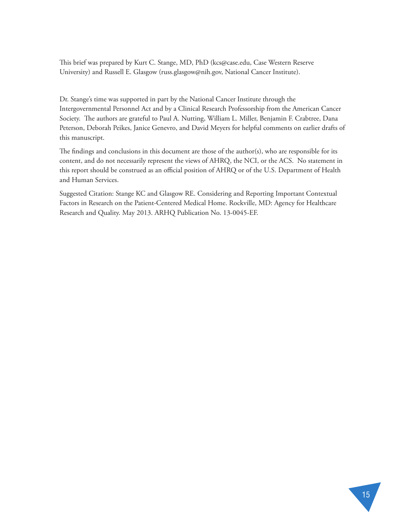This brief was prepared by Kurt C. Stange, MD, PhD (kcs@case.edu, Case Western Reserve University) and Russell E. Glasgow (russ.glasgow@nih.gov, National Cancer Institute).

Dr. Stange's time was supported in part by the National Cancer Institute through the Intergovernmental Personnel Act and by a Clinical Research Professorship from the American Cancer Society. The authors are grateful to Paul A. Nutting, William L. Miller, Benjamin F. Crabtree, Dana Peterson, Deborah Peikes, Janice Genevro, and David Meyers for helpful comments on earlier drafts of this manuscript.

The findings and conclusions in this document are those of the author(s), who are responsible for its content, and do not necessarily represent the views of AHRQ, the NCI, or the ACS. No statement in this report should be construed as an official position of AHRQ or of the U.S. Department of Health and Human Services.

Suggested Citation: Stange KC and Glasgow RE. Considering and Reporting Important Contextual Factors in Research on the Patient-Centered Medical Home. Rockville, MD: Agency for Healthcare Research and Quality. May 2013. ARHQ Publication No. 13-0045-EF.